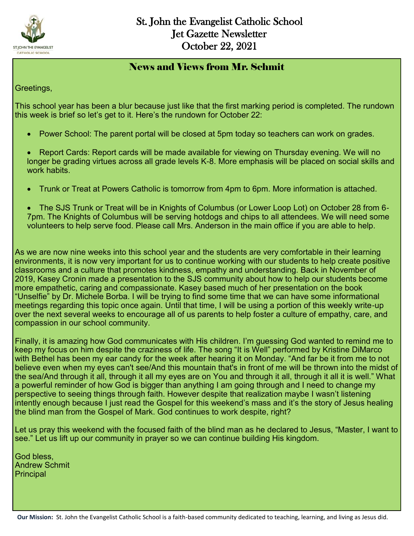

### News and Views from Mr. Schmit

Greetings,

This school year has been a blur because just like that the first marking period is completed. The rundown this week is brief so let's get to it. Here's the rundown for October 22:

- Power School: The parent portal will be closed at 5pm today so teachers can work on grades.
- Report Cards: Report cards will be made available for viewing on Thursday evening. We will no longer be grading virtues across all grade levels K-8. More emphasis will be placed on social skills and work habits.
- Trunk or Treat at Powers Catholic is tomorrow from 4pm to 6pm. More information is attached.
- The SJS Trunk or Treat will be in Knights of Columbus (or Lower Loop Lot) on October 28 from 6- 7pm. The Knights of Columbus will be serving hotdogs and chips to all attendees. We will need some volunteers to help serve food. Please call Mrs. Anderson in the main office if you are able to help.

As we are now nine weeks into this school year and the students are very comfortable in their learning environments, it is now very important for us to continue working with our students to help create positive classrooms and a culture that promotes kindness, empathy and understanding. Back in November of 2019, Kasey Cronin made a presentation to the SJS community about how to help our students become more empathetic, caring and compassionate. Kasey based much of her presentation on the book "Unselfie" by Dr. Michele Borba. I will be trying to find some time that we can have some informational meetings regarding this topic once again. Until that time, I will be using a portion of this weekly write-up over the next several weeks to encourage all of us parents to help foster a culture of empathy, care, and compassion in our school community.

Finally, it is amazing how God communicates with His children. I'm guessing God wanted to remind me to keep my focus on him despite the craziness of life. The song "It is Well" performed by Kristine DiMarco with Bethel has been my ear candy for the week after hearing it on Monday. "And far be it from me to not believe even when my eyes can't see/And this mountain that's in front of me will be thrown into the midst of the sea/And through it all, through it all my eyes are on You and through it all, through it all it is well." What a powerful reminder of how God is bigger than anything I am going through and I need to change my perspective to seeing things through faith. However despite that realization maybe I wasn't listening intently enough because I just read the Gospel for this weekend's mass and it's the story of Jesus healing the blind man from the Gospel of Mark. God continues to work despite, right?

Let us pray this weekend with the focused faith of the blind man as he declared to Jesus, "Master, I want to see." Let us lift up our community in prayer so we can continue building His kingdom.

God bless, Andrew Schmit **Principal**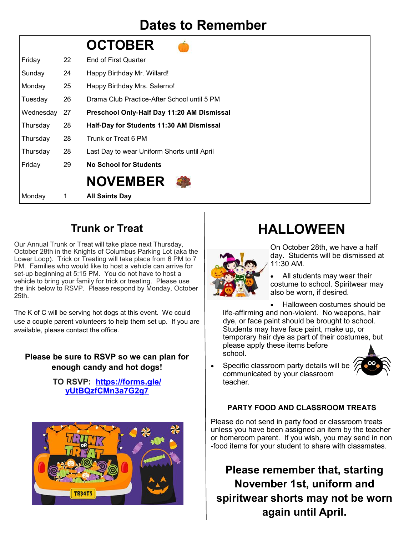## **Dates to Remember**

|           |    | <b>OCTOBER</b>                              |
|-----------|----|---------------------------------------------|
| Friday    | 22 | <b>End of First Quarter</b>                 |
| Sunday    | 24 | Happy Birthday Mr. Willard!                 |
| Monday    | 25 | Happy Birthday Mrs. Salerno!                |
| Tuesday   | 26 | Drama Club Practice-After School until 5 PM |
| Wednesday | 27 | Preschool Only-Half Day 11:20 AM Dismissal  |
| Thursday  | 28 | Half-Day for Students 11:30 AM Dismissal    |
| Thursday  | 28 | Trunk or Treat 6 PM                         |
| Thursday  | 28 | Last Day to wear Uniform Shorts until April |
| Friday    | 29 | <b>No School for Students</b>               |
|           |    | <b>NOVEMBER</b>                             |
| Monday    | 1  | <b>All Saints Day</b>                       |

## **Trunk or Treat**

Our Annual Trunk or Treat will take place next Thursday, October 28th in the Knights of Columbus Parking Lot (aka the Lower Loop). Trick or Treating will take place from 6 PM to 7 PM. Families who would like to host a vehicle can arrive for set-up beginning at 5:15 PM. You do not have to host a vehicle to bring your family for trick or treating. Please use the link below to RSVP. Please respond by Monday, October 25th.

The K of C will be serving hot dogs at this event. We could use a couple parent volunteers to help them set up. If you are available, please contact the office.

### **Please be sure to RSVP so we can plan for enough candy and hot dogs!**

**TO RSVP: [https://forms.gle/](https://forms.gle/yUtBQzfCMn3a7G2g7) [yUtBQzfCMn3a7G2g7](https://forms.gle/yUtBQzfCMn3a7G2g7)**



## **HALLOWEEN**



On October 28th, we have a half day. Students will be dismissed at 11:30 AM.

 All students may wear their costume to school. Spiritwear may also be worn, if desired.

 Halloween costumes should be life-affirming and non-violent. No weapons, hair dye, or face paint should be brought to school. Students may have face paint, make up, or temporary hair dye as part of their costumes, but please apply these items before school.



Specific classroom party details will be communicated by your classroom teacher.

### **PARTY FOOD AND CLASSROOM TREATS**

Please do not send in party food or classroom treats unless you have been assigned an item by the teacher or homeroom parent. If you wish, you may send in non -food items for your student to share with classmates.

**Please remember that, starting November 1st, uniform and spiritwear shorts may not be worn again until April.**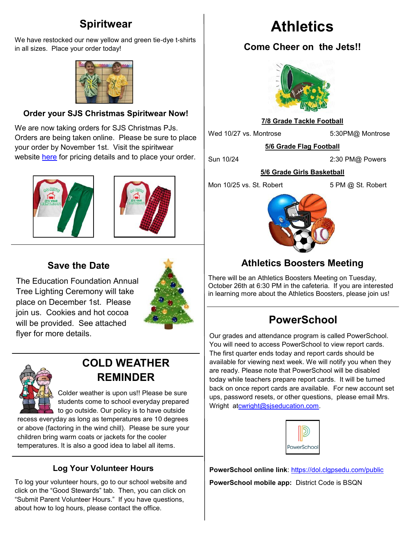## **Spiritwear**

We have restocked our new yellow and green tie-dye t-shirts in all sizes. Place your order today!



#### **Order your SJS Christmas Spiritwear Now!**

We are now taking orders for SJS Christmas PJs. Orders are being taken online. Please be sure to place your order by November 1st. Visit the spiritwear website [here](https://st-john-the-evangelist-catholic-spirit-wear.square.site/) for pricing details and to place your order.





### **Save the Date**

The Education Foundation Annual Tree Lighting Ceremony will take place on December 1st. Please join us. Cookies and hot cocoa will be provided. See attached flyer for more details.





## **COLD WEATHER REMINDER**

Colder weather is upon us!! Please be sure students come to school everyday prepared to go outside. Our policy is to have outside

recess everyday as long as temperatures are 10 degrees or above (factoring in the wind chill). Please be sure your children bring warm coats or jackets for the cooler temperatures. It is also a good idea to label all items.

### **Log Your Volunteer Hours**

To log your volunteer hours, go to our school website and click on the "Good Stewards" tab. Then, you can click on "Submit Parent Volunteer Hours." If you have questions, about how to log hours, please contact the office.

# **Athletics**

## **Come Cheer on the Jets!!**



### **7/8 Grade Tackle Football**

Wed 10/27 vs. Montrose 5:30PM@ Montrose

**5/6 Grade Flag Football**

Sun 10/24 2:30 PM@ Powers

#### **5/6 Grade Girls Basketball**

Mon 10/25 vs. St. Robert 5 PM @ St. Robert



## **Athletics Boosters Meeting**

There will be an Athletics Boosters Meeting on Tuesday, October 26th at 6:30 PM in the cafeteria. If you are interested in learning more about the Athletics Boosters, please join us!

## **PowerSchool**

Our grades and attendance program is called PowerSchool. You will need to access PowerSchool to view report cards. The first quarter ends today and report cards should be available for viewing next week. We will notify you when they are ready. Please note that PowerSchool will be disabled today while teachers prepare report cards. It will be turned back on once report cards are available. For new account set ups, password resets, or other questions, please email Mrs. Wright at[cwright@sjseducation.com.](mailto:cwright@stjohnfenton.com)



**PowerSchool online link**: <https://dol.clgpsedu.com/public> **PowerSchool mobile app:** District Code is BSQN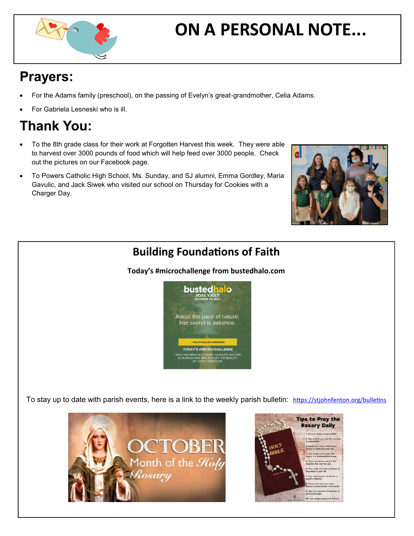

# **ON A PERSONAL NOTE...**

## **Prayers:**

- For the Adams family (preschool), on the passing of Evelyn's great-grandmother, Celia Adams.
- For Gabriela Lesneski who is ill.

# **Thank You:**

- To the 8th grade class for their work at Forgotten Harvest this week. They were able to harvest over 3000 pounds of food which will help feed over 3000 people. Check out the pictures on our Facebook page.
- To Powers Catholic High School, Ms. Sunday, and SJ alumni, Emma Gordley, Maria Gavulic, and Jack Siwek who visited our school on Thursday for Cookies with a Charger Day.



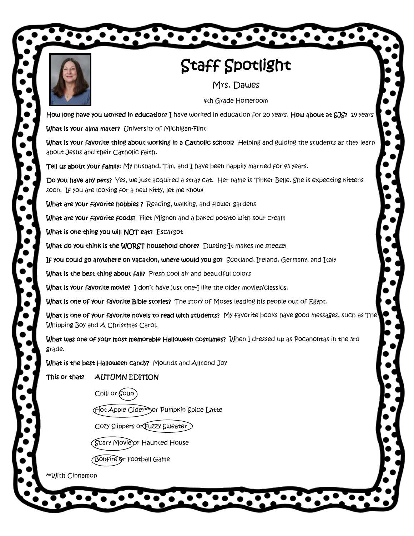

# Staff Spotlight

 $\bullet\bullet\bullet\bullet\bullet\bullet\bullet\bullet\bullet\bullet$ 

Mrs. Dawes

4th Grade Homeroom

How long have you worked in education? I have worked in education for 20 years. How about at SJS? 19 years

What is your alma mater? University of Michigan-Flint

What is your favorite thing about working in a Catholic school? Helping and guiding the students as they learn about Jesus and their Catholic faith.

Tell us about your family: My husband, Tim, and I have been happily married for 43 years.

Do you have any pets? Yes, we just acquired a stray cat. Her name is Tinker Belle. She is expecting kittens soon. If you are looking for a new kitty, let me know!

What are your favorite hobbies ? Reading, walking, and flower gardens

What are your favorite foods? Filet Mignon and a baked potato with sour cream

What is one thing you will NOT eat? Escargot

What do you think is the WORST household chore? Dusting-It makes me sneeze!

If you could go anywhere on vacation, where would you go? Scotland, Ireland, Germany, and Italy

What is the best thing about fall? Fresh cool air and beautiful colors

What is your favorite movie? I don't have just one-I like the older movies/classics.

What is one of your favorite Bible stories? The story of Moses leading his people out of Egypt.

**What is one of your favorite novels to read with students?** My favorite books have good messages, such as  $\text{The}^1$ Whipping Boy and A Christmas Carol.

What was one of your most memorable Halloween costumes? When I dressed up as Pocahontas in the 3rd grade.

What is the best Halloween candy? Mounds and Almond Joy

This or that? AUTUMN EDITION

Chili or  $\text{Goup}$ )

Hot Apple Cider\*\*or Pumpkin Spice Latte

Cozy Slippers or Fuzzy Sweater

(Scary Movie or Haun<del>t</del>ed House

Bonfire or Football Game

\*\*With Cinnamon